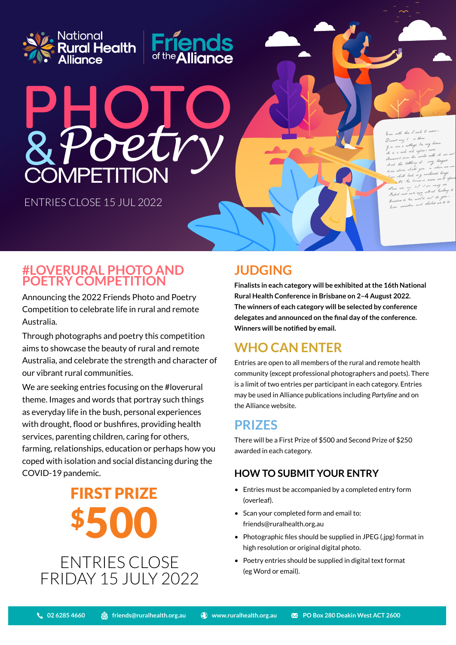



ENTRIES CLOSE 15 JUL 2022

is and closeless

### **#LOVERURAL PHOTO AND POETRY COMPETITION**

Announcing the 2022 Friends Photo and Poetry Competition to celebrate life in rural and remote Australia.

Through photographs and poetry this competition aims to showcase the beauty of rural and remote Australia, and celebrate the strength and character of our vibrant rural communities.

We are seeking entries focusing on the #loverural theme. Images and words that portray such things as everyday life in the bush, personal experiences with drought, flood or bushfires, providing health services, parenting children, caring for others, farming, relationships, education or perhaps how you coped with isolation and social distancing during the COVID-19 pandemic.

> ENTRIES CLOSE FIRST PRIZE \$500

FRIDAY 15 JULY 2022

# **JUDGING**

**Finalists in each category will be exhibited at the 16th National Rural Health Conference in Brisbane on 2–4 August 2022. The winners of each category will be selected by conference delegates and announced on the final day of the conference. Winners will be notified by email.**

# **WHO CAN ENTER**

Entries are open to all members of the rural and remote health community (except professional photographers and poets). There is a limit of two entries per participant in each category. Entries may be used in Alliance publications including *Partyline* and on the Alliance website.

## **PRIZES**

There will be a First Prize of \$500 and Second Prize of \$250 awarded in each category.

### **HOW TO SUBMIT YOUR ENTRY**

- Entries must be accompanied by a completed entry form (overleaf).
- Scan your completed form and email to: friends@ruralhealth.org.au
- Photographic files should be supplied in JPEG (.jpg) format in high resolution or original digital photo.
- Poetry entries should be supplied in digital text format (eg Word or email).